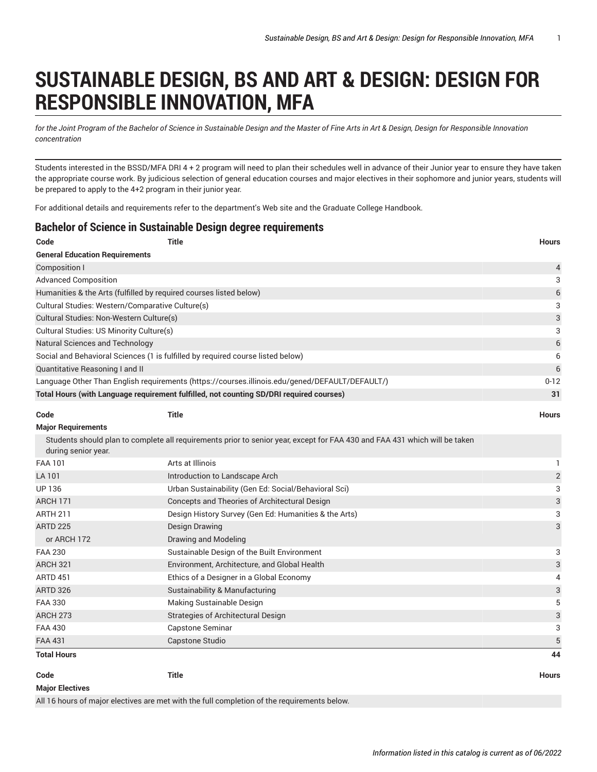## **SUSTAINABLE DESIGN, BS AND ART & DESIGN: DESIGN FOR RESPONSIBLE INNOVATION, MFA**

for the Joint Program of the Bachelor of Science in Sustainable Design and the Master of Fine Arts in Art & Design, Design for Responsible Innovation *concentration*

Students interested in the BSSD/MFA DRI 4 + 2 program will need to plan their schedules well in advance of their Junior year to ensure they have taken the appropriate course work. By judicious selection of general education courses and major electives in their sophomore and junior years, students will be prepared to apply to the 4+2 program in their junior year.

For additional details and requirements refer to the department's Web site and the Graduate College Handbook.

## **Bachelor of Science in Sustainable Design degree requirements**

| Code                                                                                           | <b>Title</b>                                                                                                               | <b>Hours</b>              |  |
|------------------------------------------------------------------------------------------------|----------------------------------------------------------------------------------------------------------------------------|---------------------------|--|
| <b>General Education Requirements</b>                                                          |                                                                                                                            |                           |  |
| <b>Composition I</b>                                                                           |                                                                                                                            |                           |  |
| <b>Advanced Composition</b>                                                                    |                                                                                                                            |                           |  |
| Humanities & the Arts (fulfilled by required courses listed below)                             |                                                                                                                            |                           |  |
| Cultural Studies: Western/Comparative Culture(s)                                               |                                                                                                                            |                           |  |
| Cultural Studies: Non-Western Culture(s)                                                       |                                                                                                                            |                           |  |
| Cultural Studies: US Minority Culture(s)                                                       |                                                                                                                            |                           |  |
| <b>Natural Sciences and Technology</b>                                                         |                                                                                                                            |                           |  |
|                                                                                                | Social and Behavioral Sciences (1 is fulfilled by required course listed below)                                            | 6                         |  |
| Quantitative Reasoning I and II                                                                |                                                                                                                            | 6                         |  |
| Language Other Than English requirements (https://courses.illinois.edu/gened/DEFAULT/DEFAULT/) |                                                                                                                            |                           |  |
|                                                                                                | Total Hours (with Language requirement fulfilled, not counting SD/DRI required courses)                                    | 31                        |  |
| Code                                                                                           | <b>Title</b>                                                                                                               | <b>Hours</b>              |  |
| <b>Major Requirements</b>                                                                      |                                                                                                                            |                           |  |
| during senior year.                                                                            | Students should plan to complete all requirements prior to senior year, except for FAA 430 and FAA 431 which will be taken |                           |  |
| <b>FAA 101</b>                                                                                 | Arts at Illinois                                                                                                           | 1                         |  |
| LA 101                                                                                         | Introduction to Landscape Arch                                                                                             | $\overline{c}$            |  |
| <b>UP 136</b>                                                                                  | Urban Sustainability (Gen Ed: Social/Behavioral Sci)                                                                       | 3                         |  |
| <b>ARCH 171</b>                                                                                | Concepts and Theories of Architectural Design                                                                              | 3                         |  |
| <b>ARTH 211</b>                                                                                | Design History Survey (Gen Ed: Humanities & the Arts)                                                                      | 3                         |  |
| <b>ARTD 225</b>                                                                                | <b>Design Drawing</b>                                                                                                      | 3                         |  |
| or ARCH 172                                                                                    | Drawing and Modeling                                                                                                       |                           |  |
| <b>FAA 230</b>                                                                                 | Sustainable Design of the Built Environment                                                                                | 3                         |  |
| <b>ARCH 321</b>                                                                                | Environment, Architecture, and Global Health                                                                               | 3                         |  |
| <b>ARTD 451</b>                                                                                | Ethics of a Designer in a Global Economy                                                                                   | 4                         |  |
| <b>ARTD 326</b>                                                                                | Sustainability & Manufacturing                                                                                             | $\ensuremath{\mathsf{3}}$ |  |
| FAA 330                                                                                        | Making Sustainable Design                                                                                                  | 5                         |  |
| <b>ARCH 273</b>                                                                                | Strategies of Architectural Design                                                                                         | 3                         |  |
| <b>FAA 430</b>                                                                                 | <b>Capstone Seminar</b>                                                                                                    | 3                         |  |
| <b>FAA 431</b>                                                                                 | Capstone Studio                                                                                                            | 5                         |  |
| <b>Total Hours</b>                                                                             |                                                                                                                            | 44                        |  |

**Code Title Hours**

All 16 hours of major electives are met with the full completion of the requirements below.

**Major Electives**